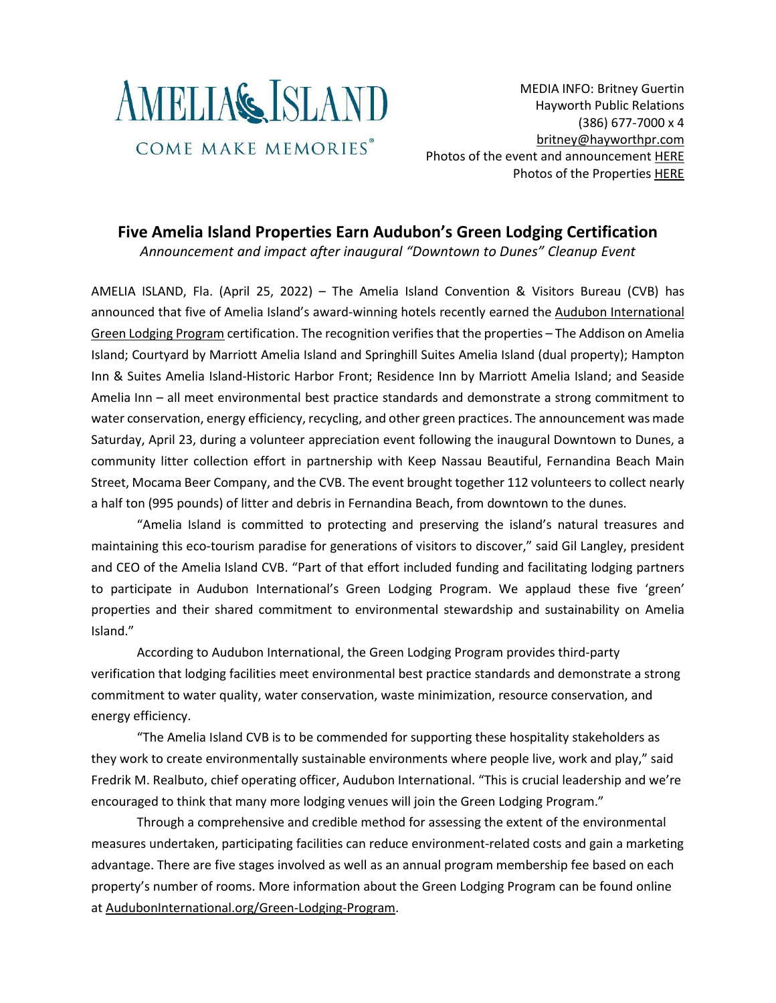

MEDIA INFO: Britney Guertin Hayworth Public Relations (386) 677-7000 x 4 [britney@hayworthpr.com](mailto:britney@hayworthpr.com) Photos of the event and announcement [HERE](https://platform.crowdriff.com/m/s-yKTWy9GBhFqEOwqu) Photos of the Properties [HERE](https://platform.crowdriff.com/m/s-P6q3TGhLCPHKWAwB)

## **Five Amelia Island Properties Earn Audubon's Green Lodging Certification**

*Announcement and impact after inaugural "Downtown to Dunes" Cleanup Event*

AMELIA ISLAND, Fla. (April 25, 2022) – The Amelia Island Convention & Visitors Bureau (CVB) has announced that five of Amelia Island's award-winning hotels recently earned the Audubon [International](https://auduboninternational.org/green-lodging-program/) Green Lodging [Program](https://auduboninternational.org/green-lodging-program/) certification. The recognition verifies that the properties – The Addison on Amelia Island; Courtyard by Marriott Amelia Island and Springhill Suites Amelia Island (dual property); Hampton Inn & Suites Amelia Island-Historic Harbor Front; Residence Inn by Marriott Amelia Island; and Seaside Amelia Inn – all meet environmental best practice standards and demonstrate a strong commitment to water conservation, energy efficiency, recycling, and other green practices. The announcement was made Saturday, April 23, during a volunteer appreciation event following the inaugural Downtown to Dunes, a community litter collection effort in partnership with Keep Nassau Beautiful, Fernandina Beach Main Street, Mocama Beer Company, and the CVB. The event brought together 112 volunteers to collect nearly a half ton (995 pounds) of litter and debris in Fernandina Beach, from downtown to the dunes.

"Amelia Island is committed to protecting and preserving the island's natural treasures and maintaining this eco-tourism paradise for generations of visitors to discover," said Gil Langley, president and CEO of the Amelia Island CVB. "Part of that effort included funding and facilitating lodging partners to participate in Audubon International's Green Lodging Program. We applaud these five 'green' properties and their shared commitment to environmental stewardship and sustainability on Amelia Island."

According to Audubon International, the Green Lodging Program provides third-party verification that lodging facilities meet environmental best practice standards and demonstrate a strong commitment to water quality, water conservation, waste minimization, resource conservation, and energy efficiency.

"The Amelia Island CVB is to be commended for supporting these hospitality stakeholders as they work to create environmentally sustainable environments where people live, work and play," said Fredrik M. Realbuto, chief operating officer, Audubon International. "This is crucial leadership and we're encouraged to think that many more lodging venues will join the Green Lodging Program."

Through a comprehensive and credible method for assessing the extent of the environmental measures undertaken, participating facilities can reduce environment-related costs and gain a marketing advantage. There are five stages involved as well as an annual program membership fee based on each property's number of rooms. More information about the Green Lodging Program can be found online at [AudubonInternational.org/Green-Lodging-Program.](http://www.auduboninternational.org/Green-Lodging-Program)